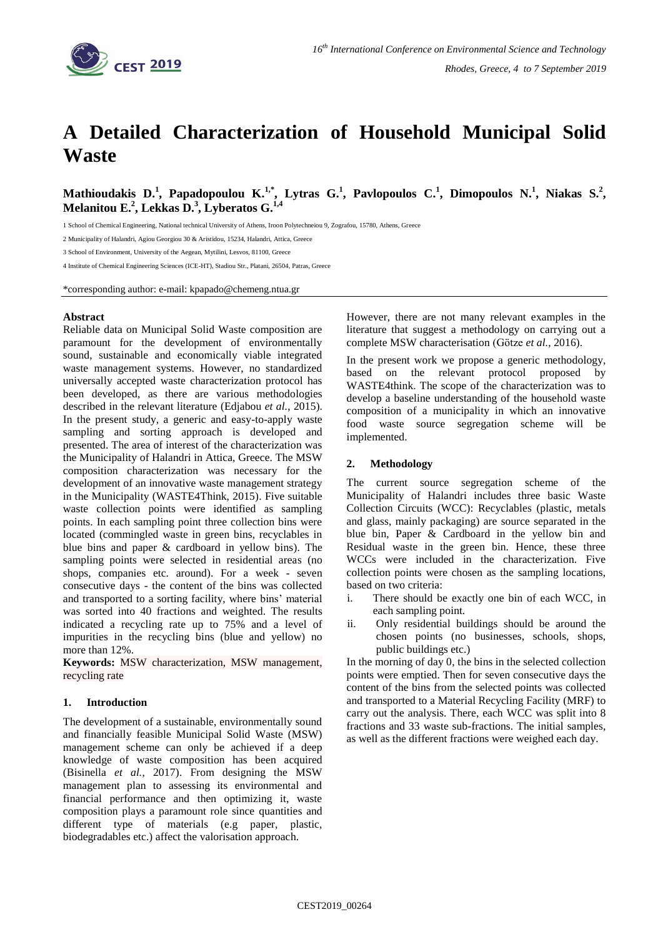

# **A Detailed Characterization of Household Municipal Solid Waste**

**Mathioudakis D.<sup>1</sup> , Papadopoulou K.1,\* , Lytras G.<sup>1</sup> , Pavlopoulos C.<sup>1</sup> , Dimopoulos N.<sup>1</sup> , Niakas S.<sup>2</sup> , Melanitou E.<sup>2</sup> , Lekkas D.<sup>3</sup> , Lyberatos G.1,4**

1 School of Chemical Engineering, National technical University of Athens, Iroon Polytechneiou 9, Zografou, 15780, Athens, Greece

2 Municipality of Halandri, Agiou Georgiou 30 & Aristidou, 15234, Halandri, Attica, Greece

3 School of Environment, University of the Aegean, Mytilini, Lesvos, 81100, Greece

4 Institute of Chemical Engineering Sciences (ICE-HT), Stadiou Str., Platani, 26504, Patras, Greece

\*corresponding author: e-mail: kpapado@chemeng.ntua.gr

## **Abstract**

Reliable data on Municipal Solid Waste composition are paramount for the development of environmentally sound, sustainable and economically viable integrated waste management systems. However, no standardized universally accepted waste characterization protocol has been developed, as there are various methodologies described in the relevant literature (Edjabou *et al.*, 2015). In the present study, a generic and easy-to-apply waste sampling and sorting approach is developed and presented. The area of interest of the characterization was the Municipality of Halandri in Attica, Greece. The MSW composition characterization was necessary for the development of an innovative waste management strategy in the Municipality (WASTE4Think, 2015). Five suitable waste collection points were identified as sampling points. In each sampling point three collection bins were located (commingled waste in green bins, recyclables in blue bins and paper & cardboard in yellow bins). The sampling points were selected in residential areas (no shops, companies etc. around). For a week - seven consecutive days - the content of the bins was collected and transported to a sorting facility, where bins' material was sorted into 40 fractions and weighted. The results indicated a recycling rate up to 75% and a level of impurities in the recycling bins (blue and yellow) no more than 12%.

**Keywords:** MSW characterization, MSW management, recycling rate

# **1. Introduction**

The development of a sustainable, environmentally sound and financially feasible Municipal Solid Waste (MSW) management scheme can only be achieved if a deep knowledge of waste composition has been acquired (Bisinella *et al.*, 2017). From designing the MSW management plan to assessing its environmental and financial performance and then optimizing it, waste composition plays a paramount role since quantities and different type of materials (e.g paper, plastic, biodegradables etc.) affect the valorisation approach.

However, there are not many relevant examples in the literature that suggest a methodology on carrying out a complete MSW characterisation (Götze *et al.*, 2016).

In the present work we propose a generic methodology, based on the relevant protocol proposed by WASTE4think. The scope of the characterization was to develop a baseline understanding of the household waste composition of a municipality in which an innovative food waste source segregation scheme will be implemented.

## **2. Methodology**

The current source segregation scheme of the Municipality of Halandri includes three basic Waste Collection Circuits (WCC): Recyclables (plastic, metals and glass, mainly packaging) are source separated in the blue bin, Paper & Cardboard in the yellow bin and Residual waste in the green bin. Hence, these three WCCs were included in the characterization. Five collection points were chosen as the sampling locations, based on two criteria:

- i. There should be exactly one bin of each WCC, in each sampling point.
- ii. Only residential buildings should be around the chosen points (no businesses, schools, shops, public buildings etc.)

In the morning of day 0, the bins in the selected collection points were emptied. Then for seven consecutive days the content of the bins from the selected points was collected and transported to a Material Recycling Facility (MRF) to carry out the analysis. There, each WCC was split into 8 fractions and 33 waste sub-fractions. The initial samples, as well as the different fractions were weighed each day.